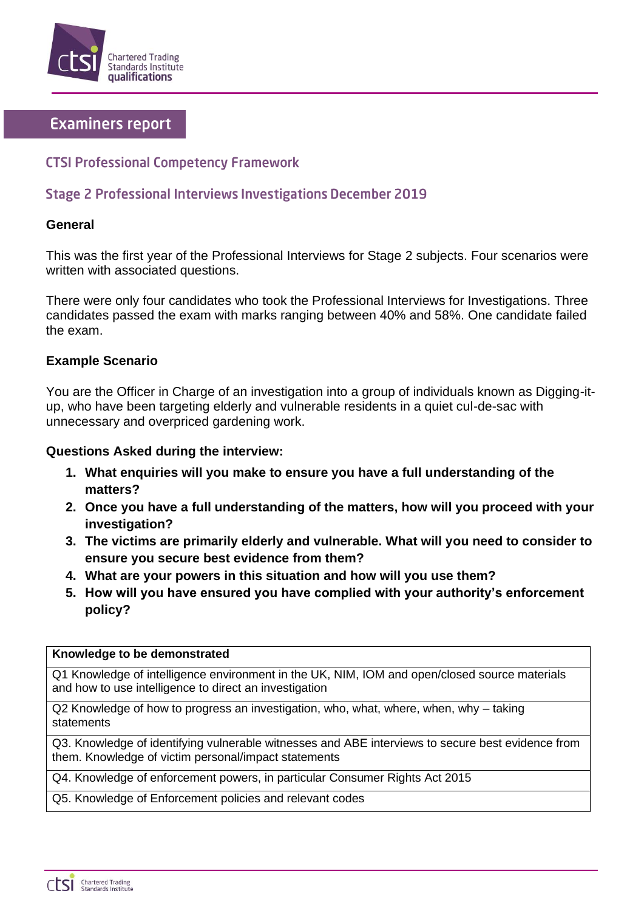

# **Examiners report**

## **CTSI Professional Competency Framework**

## **Stage 2 Professional Interviews Investigations December 2019**

#### **General**

This was the first year of the Professional Interviews for Stage 2 subjects. Four scenarios were written with associated questions.

There were only four candidates who took the Professional Interviews for Investigations. Three candidates passed the exam with marks ranging between 40% and 58%. One candidate failed the exam.

### **Example Scenario**

You are the Officer in Charge of an investigation into a group of individuals known as Digging-itup, who have been targeting elderly and vulnerable residents in a quiet cul-de-sac with unnecessary and overpriced gardening work.

### **Questions Asked during the interview:**

- **1. What enquiries will you make to ensure you have a full understanding of the matters?**
- **2. Once you have a full understanding of the matters, how will you proceed with your investigation?**
- **3. The victims are primarily elderly and vulnerable. What will you need to consider to ensure you secure best evidence from them?**
- **4. What are your powers in this situation and how will you use them?**
- **5. How will you have ensured you have complied with your authority's enforcement policy?**

#### **Knowledge to be demonstrated**

Q1 Knowledge of intelligence environment in the UK, NIM, IOM and open/closed source materials and how to use intelligence to direct an investigation

Q2 Knowledge of how to progress an investigation, who, what, where, when, why – taking statements

Q3. Knowledge of identifying vulnerable witnesses and ABE interviews to secure best evidence from them. Knowledge of victim personal/impact statements

Q4. Knowledge of enforcement powers, in particular Consumer Rights Act 2015

Q5. Knowledge of Enforcement policies and relevant codes